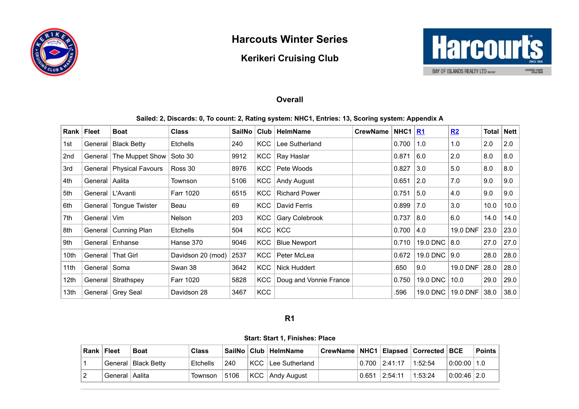

# **Harcouts Winter Series**

# **Kerikeri Cruising Club**



### **Overall**

**Sailed: 2, Discards: 0, To count: 2, Rating system: NHC1, Entries: 13, Scoring system: Appendix A**

| Rank             | ∣ Fleet            | <b>Boat</b>                | <b>Class</b>      | SailNo | Club       | <b>HelmName</b>        | <b>CrewName</b> | $\vert$ NHC1 | <u>R1</u>      | R2       | <b>Total Nett</b> |      |
|------------------|--------------------|----------------------------|-------------------|--------|------------|------------------------|-----------------|--------------|----------------|----------|-------------------|------|
| 1st              | General            | <b>Black Betty</b>         | <b>Etchells</b>   | 240    | <b>KCC</b> | Lee Sutherland         |                 | 0.700        | 1.0            | 1.0      | 2.0               | 2.0  |
| 2nd              | General            | The Muppet Show            | Soto 30           | 9912   | <b>KCC</b> | Ray Haslar             |                 | 0.871        | 6.0            | 2.0      | 8.0               | 8.0  |
| 3rd              |                    | General   Physical Favours | Ross 30           | 8976   | <b>KCC</b> | Pete Woods             |                 | 0.827        | 3.0            | 5.0      | 8.0               | 8.0  |
| 4th              | General   Aalita   |                            | Townson           | 5106   | <b>KCC</b> | Andy August            |                 | 0.651        | $\vert$ 2.0    | 7.0      | 9.0               | 9.0  |
| 5th              | General   L'Avanti |                            | Farr 1020         | 6515   | KCC        | <b>Richard Power</b>   |                 | 0.751        | 5.0            | 4.0      | 9.0               | 9.0  |
| 6th              | General            | <b>Tongue Twister</b>      | Beau              | 69     | <b>KCC</b> | David Ferris           |                 | 0.899        | 7.0            | 3.0      | 10.0              | 10.0 |
| 7th              | General I          | Vim                        | <b>Nelson</b>     | 203    | <b>KCC</b> | Gary Colebrook         |                 | 0.737        | 8.0            | 6.0      | 14.0              | 14.0 |
| 8th              |                    | General   Cunning Plan     | <b>Etchells</b>   | 504    | <b>KCC</b> | <b>KCC</b>             |                 | 0.700        | 4.0            | 19.0 DNF | 23.0              | 23.0 |
| 9th              |                    | General   Enhanse          | Hanse 370         | 9046   | <b>KCC</b> | <b>Blue Newport</b>    |                 | 0.710        | 19.0 DNC   8.0 |          | 27.0              | 27.0 |
| 10th             |                    | General   That Girl        | Davidson 20 (mod) | 2537   | <b>KCC</b> | Peter McLea            |                 | 0.672        | 19.0 DNC       | 9.0      | 28.0              | 28.0 |
| 11th             | General   Soma     |                            | Swan 38           | 3642   | <b>KCC</b> | <b>Nick Huddert</b>    |                 | .650         | 9.0            | 19.0 DNF | 28.0              | 28.0 |
| 12 <sub>th</sub> |                    | General Strathspey         | Farr 1020         | 5828   | <b>KCC</b> | Doug and Vonnie France |                 | 0.750        | 19.0 DNC       | 10.0     | 29.0              | 29.0 |
| 13 <sub>th</sub> |                    | General   Grey Seal        | Davidson 28       | 3467   | <b>KCC</b> |                        |                 | .596         | 19.0 DNC       | 19.0 DNF | 38.0              | 38.0 |

#### **R1**

**Start: Start 1, Finishes: Place**

<span id="page-0-0"></span>

| <b>Rank   Fleet</b> | <b>Boat</b>              | <b>Class</b> |      | ∣SailNo ∣Club ∣ HelmName | CrewName   NHC1   Elapsed   Corrected   BCE |                 |         |             | Points |
|---------------------|--------------------------|--------------|------|--------------------------|---------------------------------------------|-----------------|---------|-------------|--------|
|                     | l General I Black Bettv∶ | Etchells     | 240  | ∣KCC ⊺Lee Sutherland     |                                             | 0.700   2:41:17 | 1:52:54 | 0:00:00 1.0 |        |
| General   Aalita    |                          | Townson      | 5106 | KCC Andy August          |                                             | 0.651   2:54:11 | 1:53:24 | 0.00:46 2.0 |        |